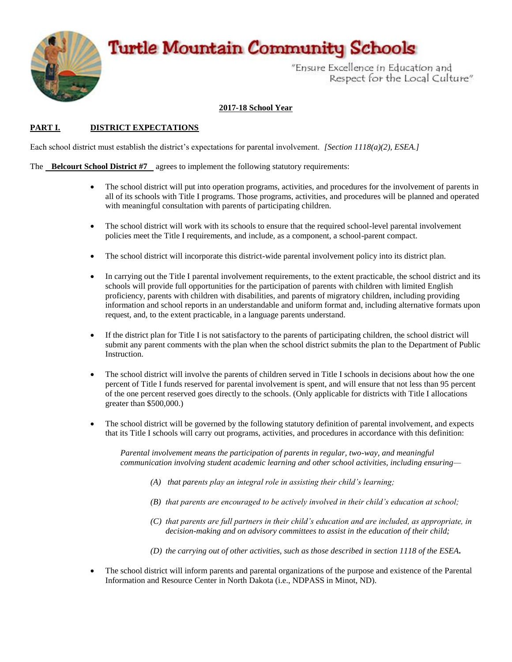# **Turtle Mountain Community Schools**



"Ensure Excellence in Education and Respect for the Local Culture"

### **2017-18 School Year**

### **PART I. DISTRICT EXPECTATIONS**

Each school district must establish the district's expectations for parental involvement. *[Section 1118(a)(2), ESEA.]*

#### The **Belcourt School District #7** agrees to implement the following statutory requirements:

- The school district will put into operation programs, activities, and procedures for the involvement of parents in all of its schools with Title I programs. Those programs, activities, and procedures will be planned and operated with meaningful consultation with parents of participating children.
- The school district will work with its schools to ensure that the required school-level parental involvement policies meet the Title I requirements, and include, as a component, a school-parent compact.
- The school district will incorporate this district-wide parental involvement policy into its district plan.
- In carrying out the Title I parental involvement requirements, to the extent practicable, the school district and its schools will provide full opportunities for the participation of parents with children with limited English proficiency, parents with children with disabilities, and parents of migratory children, including providing information and school reports in an understandable and uniform format and, including alternative formats upon request, and, to the extent practicable, in a language parents understand.
- If the district plan for Title I is not satisfactory to the parents of participating children, the school district will submit any parent comments with the plan when the school district submits the plan to the Department of Public Instruction.
- The school district will involve the parents of children served in Title I schools in decisions about how the one percent of Title I funds reserved for parental involvement is spent, and will ensure that not less than 95 percent of the one percent reserved goes directly to the schools. (Only applicable for districts with Title I allocations greater than \$500,000.)
- The school district will be governed by the following statutory definition of parental involvement, and expects that its Title I schools will carry out programs, activities, and procedures in accordance with this definition:

*Parental involvement means the participation of parents in regular, two-way, and meaningful communication involving student academic learning and other school activities, including ensuring—*

- *(A) that parents play an integral role in assisting their child's learning;*
- *(B) that parents are encouraged to be actively involved in their child's education at school;*
- *(C) that parents are full partners in their child's education and are included, as appropriate, in decision-making and on advisory committees to assist in the education of their child;*
- *(D) the carrying out of other activities, such as those described in section 1118 of the ESEA.*
- The school district will inform parents and parental organizations of the purpose and existence of the Parental Information and Resource Center in North Dakota (i.e., NDPASS in Minot, ND).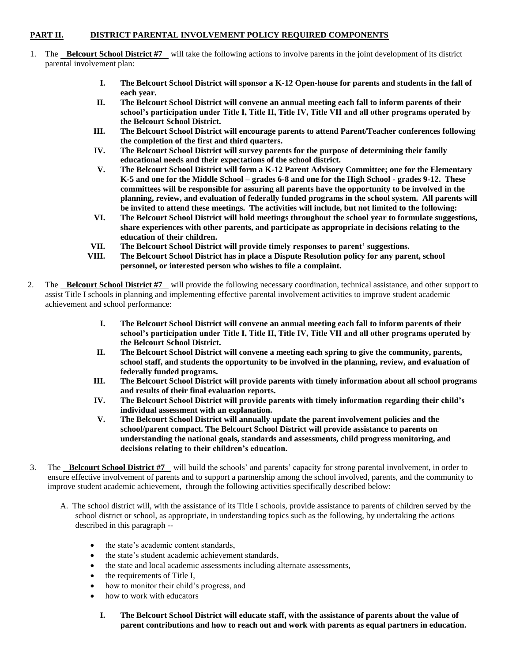### **PART II. DISTRICT PARENTAL INVOLVEMENT POLICY REQUIRED COMPONENTS**

- 1. The **Belcourt School District #7** will take the following actions to involve parents in the joint development of its district parental involvement plan:
	- **I. The Belcourt School District will sponsor a K-12 Open-house for parents and students in the fall of each year.**
	- **II. The Belcourt School District will convene an annual meeting each fall to inform parents of their school's participation under Title I, Title II, Title IV, Title VII and all other programs operated by the Belcourt School District.**
	- **III. The Belcourt School District will encourage parents to attend Parent/Teacher conferences following the completion of the first and third quarters.**
	- **IV. The Belcourt School District will survey parents for the purpose of determining their family educational needs and their expectations of the school district.**
	- **V. The Belcourt School District will form a K-12 Parent Advisory Committee; one for the Elementary K-5 and one for the Middle School – grades 6-8 and one for the High School - grades 9-12. These committees will be responsible for assuring all parents have the opportunity to be involved in the planning, review, and evaluation of federally funded programs in the school system. All parents will be invited to attend these meetings. The activities will include, but not limited to the following:**
	- **VI. The Belcourt School District will hold meetings throughout the school year to formulate suggestions, share experiences with other parents, and participate as appropriate in decisions relating to the education of their children.**
	- **VII. The Belcourt School District will provide timely responses to parent' suggestions.**
	- **VIII. The Belcourt School District has in place a Dispute Resolution policy for any parent, school personnel, or interested person who wishes to file a complaint.**
- 2. The **Belcourt School District #7** will provide the following necessary coordination, technical assistance, and other support to assist Title I schools in planning and implementing effective parental involvement activities to improve student academic achievement and school performance:
	- **I. The Belcourt School District will convene an annual meeting each fall to inform parents of their school's participation under Title I, Title II, Title IV, Title VII and all other programs operated by the Belcourt School District.**
	- **II. The Belcourt School District will convene a meeting each spring to give the community, parents, school staff, and students the opportunity to be involved in the planning, review, and evaluation of federally funded programs.**
	- **III. The Belcourt School District will provide parents with timely information about all school programs and results of their final evaluation reports.**
	- **IV. The Belcourt School District will provide parents with timely information regarding their child's individual assessment with an explanation.**
	- **V. The Belcourt School District will annually update the parent involvement policies and the school/parent compact. The Belcourt School District will provide assistance to parents on understanding the national goals, standards and assessments, child progress monitoring, and decisions relating to their children's education.**
- 3. The **Belcourt School District #7** will build the schools' and parents' capacity for strong parental involvement, in order to ensure effective involvement of parents and to support a partnership among the school involved, parents, and the community to improve student academic achievement, through the following activities specifically described below:
	- A. The school district will, with the assistance of its Title I schools, provide assistance to parents of children served by the school district or school, as appropriate, in understanding topics such as the following, by undertaking the actions described in this paragraph --
		- the state's academic content standards,
		- the state's student academic achievement standards,
		- the state and local academic assessments including alternate assessments,
		- the requirements of Title I,
		- how to monitor their child's progress, and
		- how to work with educators
			- **I. The Belcourt School District will educate staff, with the assistance of parents about the value of parent contributions and how to reach out and work with parents as equal partners in education.**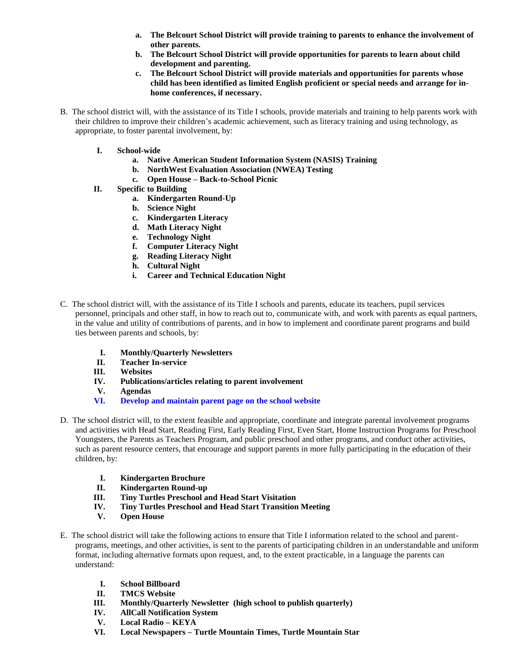- **a. The Belcourt School District will provide training to parents to enhance the involvement of other parents.**
- **b. The Belcourt School District will provide opportunities for parents to learn about child development and parenting.**
- **c. The Belcourt School District will provide materials and opportunities for parents whose child has been identified as limited English proficient or special needs and arrange for inhome conferences, if necessary.**
- B. The school district will, with the assistance of its Title I schools, provide materials and training to help parents work with their children to improve their children's academic achievement, such as literacy training and using technology, as appropriate, to foster parental involvement, by:
	- **I. School-wide**
		- **a. Native American Student Information System (NASIS) Training**
		- **b. NorthWest Evaluation Association (NWEA) Testing**
		- **c. Open House – Back-to-School Picnic**
	- **II. Specific to Building**
		- **a. Kindergarten Round-Up**
		- **b. Science Night**
		- **c. Kindergarten Literacy**
		- **d. Math Literacy Night**
		- **e. Technology Night**
		- **f. Computer Literacy Night**
		- **g. Reading Literacy Night**
		- **h. Cultural Night**
		- **i. Career and Technical Education Night**
- C. The school district will, with the assistance of its Title I schools and parents, educate its teachers, pupil services personnel, principals and other staff, in how to reach out to, communicate with, and work with parents as equal partners, in the value and utility of contributions of parents, and in how to implement and coordinate parent programs and build ties between parents and schools, by:
	- **I. Monthly/Quarterly Newsletters**
	- **II. Teacher In-service**
	- **III. Websites**
	- **IV. Publications/articles relating to parent involvement**
	- **V. Agendas**
	- **VI. Develop and maintain parent page on the school website**
- D. The school district will, to the extent feasible and appropriate, coordinate and integrate parental involvement programs and activities with Head Start, Reading First, Early Reading First, Even Start, Home Instruction Programs for Preschool Youngsters, the Parents as Teachers Program, and public preschool and other programs, and conduct other activities, such as parent resource centers, that encourage and support parents in more fully participating in the education of their children, by:
	- **I. Kindergarten Brochure**
	- **II. Kindergarten Round-up**
	- **III. Tiny Turtles Preschool and Head Start Visitation**
	- **IV. Tiny Turtles Preschool and Head Start Transition Meeting**
	- **V. Open House**
- E. The school district will take the following actions to ensure that Title I information related to the school and parentprograms, meetings, and other activities, is sent to the parents of participating children in an understandable and uniform format, including alternative formats upon request, and, to the extent practicable, in a language the parents can understand:
	- **I. School Billboard**
	- **II. TMCS Website**
	- **III. Monthly/Quarterly Newsletter (high school to publish quarterly)**
	- **IV. AllCall Notification System**
	- **V. Local Radio – KEYA**
	- **VI. Local Newspapers – Turtle Mountain Times, Turtle Mountain Star**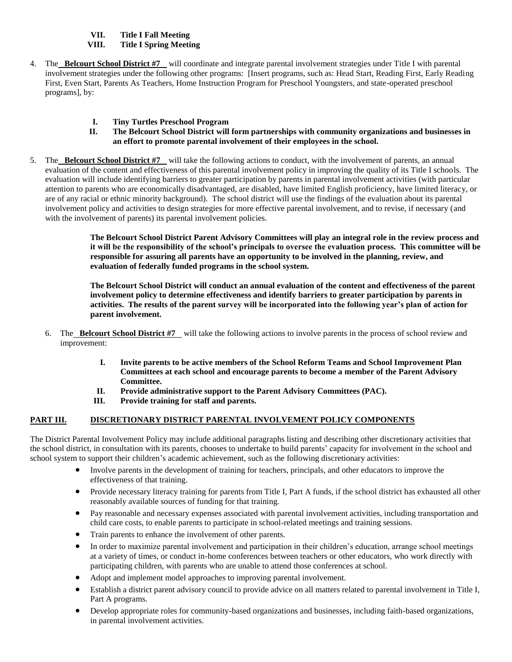**VII. Title I Fall Meeting**

#### **VIII. Title I Spring Meeting**

- 4. The **Belcourt School District #7** will coordinate and integrate parental involvement strategies under Title I with parental involvement strategies under the following other programs: [Insert programs, such as: Head Start, Reading First, Early Reading First, Even Start, Parents As Teachers, Home Instruction Program for Preschool Youngsters, and state-operated preschool programs], by:
	- **I. Tiny Turtles Preschool Program**
	- **II. The Belcourt School District will form partnerships with community organizations and businesses in an effort to promote parental involvement of their employees in the school.**
- 5. The **Belcourt School District #7** will take the following actions to conduct, with the involvement of parents, an annual evaluation of the content and effectiveness of this parental involvement policy in improving the quality of its Title I schools. The evaluation will include identifying barriers to greater participation by parents in parental involvement activities (with particular attention to parents who are economically disadvantaged, are disabled, have limited English proficiency, have limited literacy, or are of any racial or ethnic minority background). The school district will use the findings of the evaluation about its parental involvement policy and activities to design strategies for more effective parental involvement, and to revise, if necessary (and with the involvement of parents) its parental involvement policies.

**The Belcourt School District Parent Advisory Committees will play an integral role in the review process and it will be the responsibility of the school's principals to oversee the evaluation process. This committee will be responsible for assuring all parents have an opportunity to be involved in the planning, review, and evaluation of federally funded programs in the school system.**

**The Belcourt School District will conduct an annual evaluation of the content and effectiveness of the parent involvement policy to determine effectiveness and identify barriers to greater participation by parents in activities. The results of the parent survey will be incorporated into the following year's plan of action for parent involvement.**

- 6. The **Belcourt School District #7** will take the following actions to involve parents in the process of school review and improvement:
	- **I. Invite parents to be active members of the School Reform Teams and School Improvement Plan Committees at each school and encourage parents to become a member of the Parent Advisory Committee.**
	- **II. Provide administrative support to the Parent Advisory Committees (PAC).**
	- **III. Provide training for staff and parents.**

### **PART III. DISCRETIONARY DISTRICT PARENTAL INVOLVEMENT POLICY COMPONENTS**

The District Parental Involvement Policy may include additional paragraphs listing and describing other discretionary activities that the school district, in consultation with its parents, chooses to undertake to build parents' capacity for involvement in the school and school system to support their children's academic achievement, such as the following discretionary activities:

- Involve parents in the development of training for teachers, principals, and other educators to improve the effectiveness of that training.
- Provide necessary literacy training for parents from Title I, Part A funds, if the school district has exhausted all other reasonably available sources of funding for that training.
- Pay reasonable and necessary expenses associated with parental involvement activities, including transportation and child care costs, to enable parents to participate in school-related meetings and training sessions.
- Train parents to enhance the involvement of other parents.
- In order to maximize parental involvement and participation in their children's education, arrange school meetings at a variety of times, or conduct in-home conferences between teachers or other educators, who work directly with participating children, with parents who are unable to attend those conferences at school.
- Adopt and implement model approaches to improving parental involvement.
- Establish a district parent advisory council to provide advice on all matters related to parental involvement in Title I, Part A programs.
- Develop appropriate roles for community-based organizations and businesses, including faith-based organizations, in parental involvement activities.